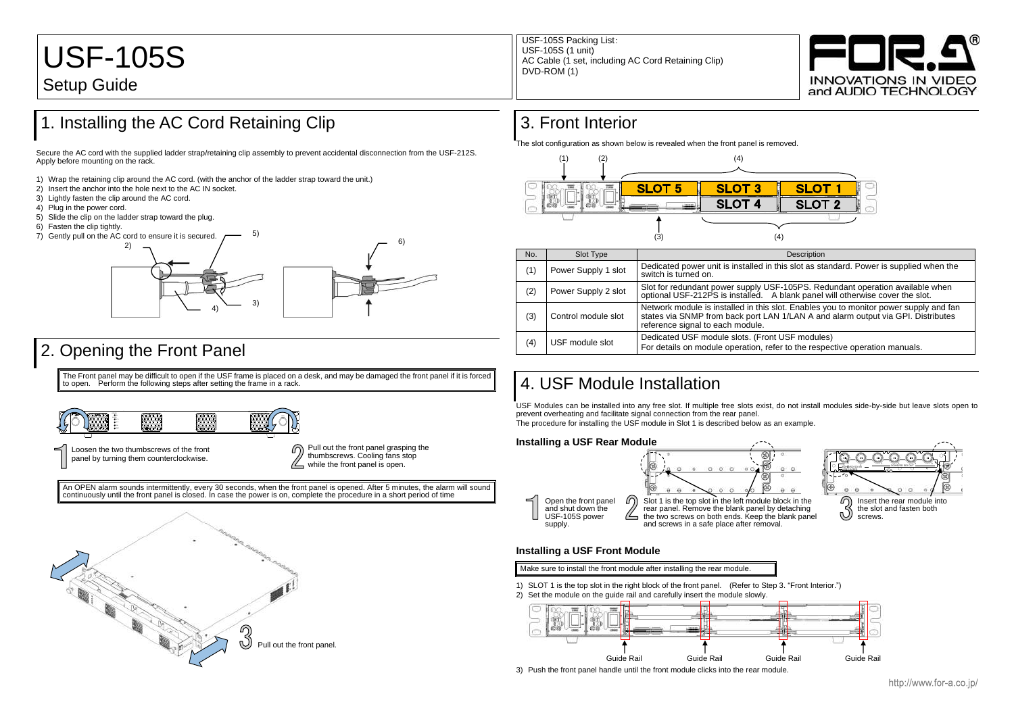### 1. Installing the AC Cord Retaining Clip

Secure the AC cord with the supplied ladder strap/retaining clip assembly to prevent accidental disconnection from the USF-212S. Apply before mounting on the rack.

- 1) Wrap the retaining clip around the AC cord. (with the anchor of the ladder strap toward the unit.)
- 2) Insert the anchor into the hole next to the AC IN socket.
- 3) Lightly fasten the clip around the AC cord.
- 4) Plug in the power cord.
- 5) Slide the clip on the ladder strap toward the plug.
- 6) Fasten the clip tightly.
- 7) Gently pull on the AC cord to ensure it is secured.

## 2. Opening the Front Panel

The Front panel may be difficult to open if the USF frame is placed on a desk, and may be damaged the front panel if it is forced to open. Perform the following steps after setting the frame in a rack.

An OPEN alarm sounds intermittently, every 30 seconds, when the front panel is opened. After 5 minutes, the alarm will sound continuously until the front panel is closed. In case the power is on, complete the procedure in a short period of time

### 3. Front Interior

The slot configuration as shown below is revealed when the front panel is removed.

|  | No. | Slot Type           |                                                                                                            |
|--|-----|---------------------|------------------------------------------------------------------------------------------------------------|
|  | (1) | Power Supply 1 slot | Dedicated power unit is installed<br>switch is turned on.                                                  |
|  | (2) | Power Supply 2 slot | Slot for redundant power supply<br>optional USF-212PS is installed.                                        |
|  | (3) | Control module slot | Network module is installed in thi<br>states via SNMP from back port I<br>reference signal to each module. |
|  | (4) | USF module slot     | Dedicated USF module slots. (Fr<br>For details on module operation,                                        |

### 4. USF Module Installation

USF Modules can be installed into any free slot. If multiple free slots exist, do not install modules side-by-side but leave slots open to prevent overheating and facilitate signal connection from the rear panel. The procedure for installing the USF module in Slot 1 is described below as an example.

#### **Installing a USF Rear Module**

### **Installing a USF Front Module**





1) SLOT 1 is the top slot in the right block of the front panel. (Refer to Step 3. "Front Interior.") 2) Set the module on the guide rail and carefully insert the module slowly.

3) Push the front panel handle until the front module clicks into the rear module.



In this slot as standard. Power is supplied when the

USF-105PS. Redundant operation available when A blank panel will otherwise cover the slot.

is slot. Enables you to monitor power supply and fan LAN 1/LAN A and alarm output via GPI. Distributes

ront USF modules) refer to the respective operation manuals.

http://www.for-a.co.jp/

# USF-105S Setup Guide

USF-105S Packing List: USF-105S (1 unit) AC Cable (1 set, including AC Cord Retaining Clip) DVD-ROM (1)



5)



Open the front panel and shut down the USF-105S power supply.



panel by turning them counterclockwise.